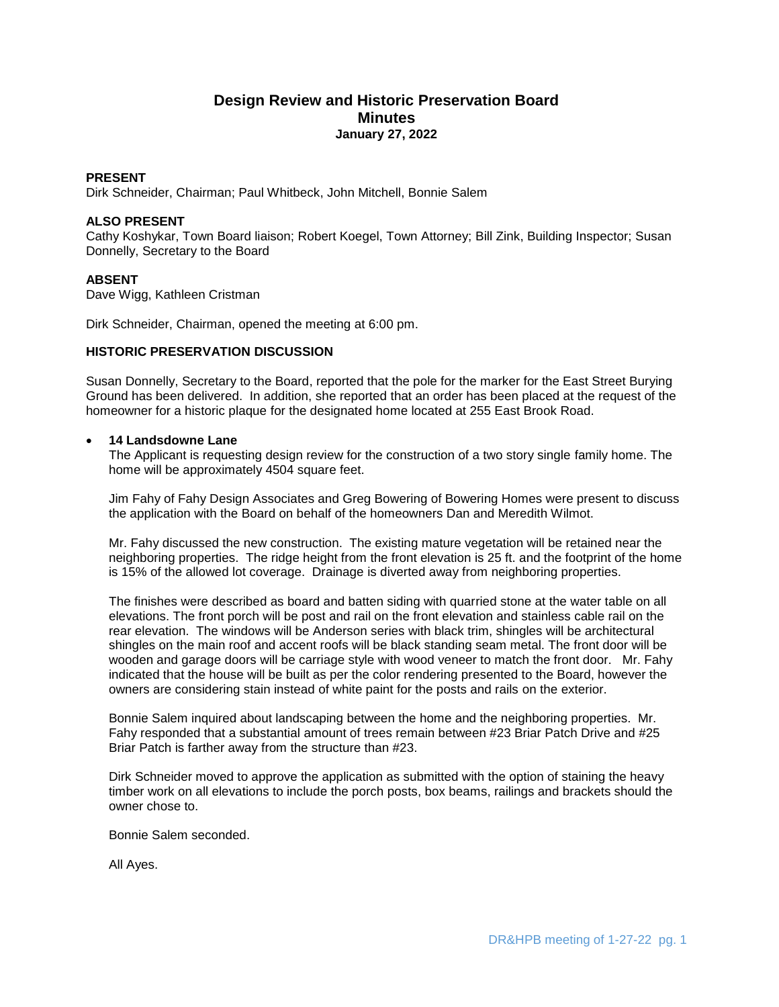# **Design Review and Historic Preservation Board Minutes January 27, 2022**

## **PRESENT**

Dirk Schneider, Chairman; Paul Whitbeck, John Mitchell, Bonnie Salem

#### **ALSO PRESENT**

Cathy Koshykar, Town Board liaison; Robert Koegel, Town Attorney; Bill Zink, Building Inspector; Susan Donnelly, Secretary to the Board

### **ABSENT**

Dave Wigg, Kathleen Cristman

Dirk Schneider, Chairman, opened the meeting at 6:00 pm.

#### **HISTORIC PRESERVATION DISCUSSION**

Susan Donnelly, Secretary to the Board, reported that the pole for the marker for the East Street Burying Ground has been delivered. In addition, she reported that an order has been placed at the request of the homeowner for a historic plaque for the designated home located at 255 East Brook Road.

#### **14 Landsdowne Lane**

The Applicant is requesting design review for the construction of a two story single family home. The home will be approximately 4504 square feet.

Jim Fahy of Fahy Design Associates and Greg Bowering of Bowering Homes were present to discuss the application with the Board on behalf of the homeowners Dan and Meredith Wilmot.

Mr. Fahy discussed the new construction. The existing mature vegetation will be retained near the neighboring properties. The ridge height from the front elevation is 25 ft. and the footprint of the home is 15% of the allowed lot coverage. Drainage is diverted away from neighboring properties.

The finishes were described as board and batten siding with quarried stone at the water table on all elevations. The front porch will be post and rail on the front elevation and stainless cable rail on the rear elevation. The windows will be Anderson series with black trim, shingles will be architectural shingles on the main roof and accent roofs will be black standing seam metal. The front door will be wooden and garage doors will be carriage style with wood veneer to match the front door. Mr. Fahy indicated that the house will be built as per the color rendering presented to the Board, however the owners are considering stain instead of white paint for the posts and rails on the exterior.

Bonnie Salem inquired about landscaping between the home and the neighboring properties. Mr. Fahy responded that a substantial amount of trees remain between #23 Briar Patch Drive and #25 Briar Patch is farther away from the structure than #23.

Dirk Schneider moved to approve the application as submitted with the option of staining the heavy timber work on all elevations to include the porch posts, box beams, railings and brackets should the owner chose to.

Bonnie Salem seconded.

All Ayes.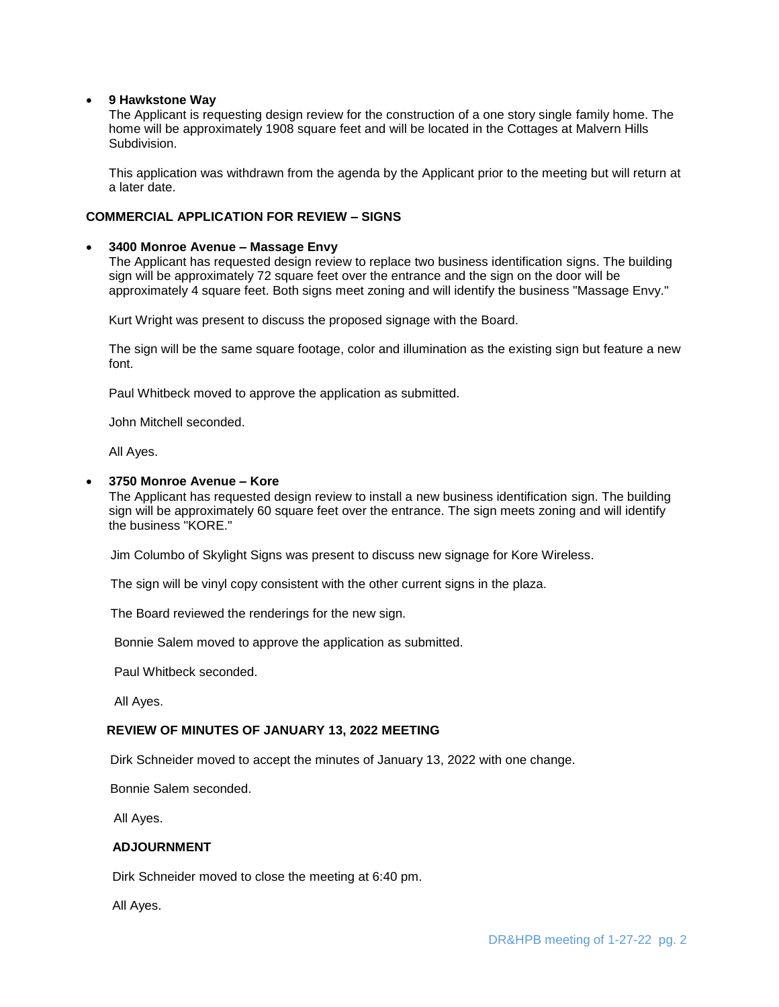### **9 Hawkstone Way**

The Applicant is requesting design review for the construction of a one story single family home. The home will be approximately 1908 square feet and will be located in the Cottages at Malvern Hills **Subdivision** 

This application was withdrawn from the agenda by the Applicant prior to the meeting but will return at a later date.

## **COMMERCIAL APPLICATION FOR REVIEW – SIGNS**

#### **3400 Monroe Avenue – Massage Envy**

The Applicant has requested design review to replace two business identification signs. The building sign will be approximately 72 square feet over the entrance and the sign on the door will be approximately 4 square feet. Both signs meet zoning and will identify the business "Massage Envy."

Kurt Wright was present to discuss the proposed signage with the Board.

The sign will be the same square footage, color and illumination as the existing sign but feature a new font.

Paul Whitbeck moved to approve the application as submitted.

John Mitchell seconded.

All Ayes.

### **3750 Monroe Avenue – Kore**

The Applicant has requested design review to install a new business identification sign. The building sign will be approximately 60 square feet over the entrance. The sign meets zoning and will identify the business "KORE."

Jim Columbo of Skylight Signs was present to discuss new signage for Kore Wireless.

The sign will be vinyl copy consistent with the other current signs in the plaza.

The Board reviewed the renderings for the new sign.

Bonnie Salem moved to approve the application as submitted.

Paul Whitbeck seconded.

All Ayes.

### **REVIEW OF MINUTES OF JANUARY 13, 2022 MEETING**

Dirk Schneider moved to accept the minutes of January 13, 2022 with one change.

Bonnie Salem seconded.

All Ayes.

## **ADJOURNMENT**

Dirk Schneider moved to close the meeting at 6:40 pm.

All Ayes.